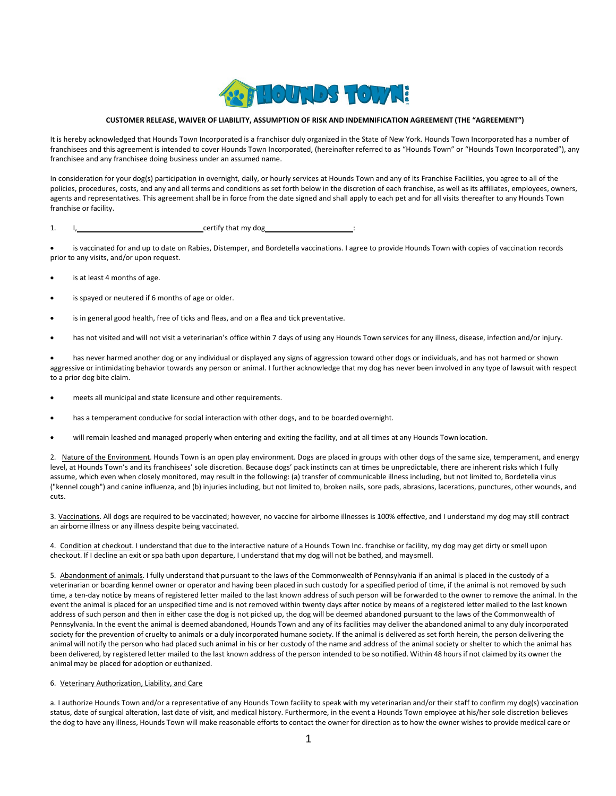

## **CUSTOMER RELEASE, WAIVER OF LIABILITY, ASSUMPTION OF RISK AND INDEMNIFICATION AGREEMENT (THE "AGREEMENT")**

It is hereby acknowledged that Hounds Town Incorporated is a franchisor duly organized in the State of New York. Hounds Town Incorporated has a number of franchisees and this agreement is intended to cover Hounds Town Incorporated, (hereinafter referred to as "Hounds Town" or "Hounds Town Incorporated"), any franchisee and any franchisee doing business under an assumed name.

In consideration for your dog(s) participation in overnight, daily, or hourly services at Hounds Town and any of its Franchise Facilities, you agree to all of the policies, procedures, costs, and any and all terms and conditions as set forth below in the discretion of each franchise, as well as its affiliates, employees, owners, agents and representatives. This agreement shall be in force from the date signed and shall apply to each pet and for all visits thereafter to any Hounds Town franchise or facility.

1. I, certify that my dog

• is vaccinated for and up to date on Rabies, Distemper, and Bordetella vaccinations. I agree to provide Hounds Town with copies of vaccination records prior to any visits, and/or upon request.

- is at least 4 months of age.
- is spayed or neutered if 6 months of age or older.
- is in general good health, free of ticks and fleas, and on a flea and tick preventative.
- has not visited and will not visit a veterinarian's office within 7 days of using any Hounds Town services for any illness, disease, infection and/or injury.

• has never harmed another dog or any individual or displayed any signs of aggression toward other dogs or individuals, and has not harmed or shown aggressive or intimidating behavior towards any person or animal. I further acknowledge that my dog has never been involved in any type of lawsuit with respect to a prior dog bite claim.

- meets all municipal and state licensure and other requirements.
- has a temperament conducive for social interaction with other dogs, and to be boarded overnight.
- will remain leashed and managed properly when entering and exiting the facility, and at all times at any Hounds Townlocation.

2. Nature of the Environment. Hounds Town is an open play environment. Dogs are placed in groups with other dogs of the same size, temperament, and energy level, at Hounds Town's and its franchisees' sole discretion. Because dogs' pack instincts can at times be unpredictable, there are inherent risks which I fully assume, which even when closely monitored, may result in the following: (a) transfer of communicable illness including, but not limited to, Bordetella virus ("kennel cough") and canine influenza, and (b) injuries including, but not limited to, broken nails, sore pads, abrasions, lacerations, punctures, other wounds, and cuts.

3. Vaccinations. All dogs are required to be vaccinated; however, no vaccine for airborne illnesses is 100% effective, and I understand my dog may still contract an airborne illness or any illness despite being vaccinated.

4. Condition at checkout. I understand that due to the interactive nature of a Hounds Town Inc. franchise or facility, my dog may get dirty or smell upon checkout. If I decline an exit or spa bath upon departure, I understand that my dog will not be bathed, and maysmell.

5. Abandonment of animals. I fully understand that pursuant to the laws of the Commonwealth of Pennsylvania if an animal is placed in the custody of a veterinarian or boarding kennel owner or operator and having been placed in such custody for a specified period of time, if the animal is not removed by such time, a ten-day notice by means of registered letter mailed to the last known address of such person will be forwarded to the owner to remove the animal. In the event the animal is placed for an unspecified time and is not removed within twenty days after notice by means of a registered letter mailed to the last known address of such person and then in either case the dog is not picked up, the dog will be deemed abandoned pursuant to the laws of the Commonwealth of Pennsylvania. In the event the animal is deemed abandoned, Hounds Town and any of its facilities may deliver the abandoned animal to any duly incorporated society for the prevention of cruelty to animals or a duly incorporated humane society. If the animal is delivered as set forth herein, the person delivering the animal will notify the person who had placed such animal in his or her custody of the name and address of the animal society or shelter to which the animal has been delivered, by registered letter mailed to the last known address of the person intended to be so notified. Within 48 hours if not claimed by its owner the animal may be placed for adoption or euthanized.

## 6. Veterinary Authorization, Liability, and Care

a. I authorize Hounds Town and/or a representative of any Hounds Town facility to speak with my veterinarian and/or their staff to confirm my dog(s) vaccination status, date of surgical alteration, last date of visit, and medical history. Furthermore, in the event a Hounds Town employee at his/her sole discretion believes the dog to have any illness, Hounds Town will make reasonable efforts to contact the owner for direction as to how the owner wishes to provide medical care or